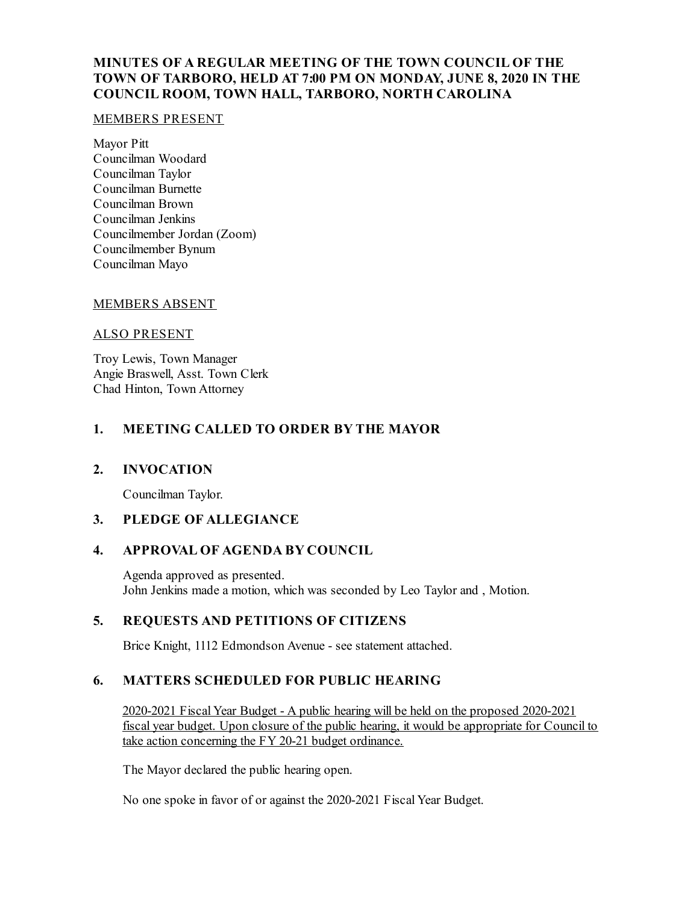# **MINUTES OF A REGULAR MEETING OF THE TOWN COUNCIL OF THE TOWN OF TARBORO, HELD AT 7:00 PM ON MONDAY, JUNE 8, 2020 IN THE COUNCIL ROOM, TOWN HALL, TARBORO, NORTH CAROLINA**

#### MEMBERS PRESENT

Mayor Pitt Councilman Woodard Councilman Taylor Councilman Burnette Councilman Brown Councilman Jenkins Councilmember Jordan (Zoom) Councilmember Bynum Councilman Mayo

### MEMBERS ABSENT

#### ALSO PRESENT

Troy Lewis, Town Manager Angie Braswell, Asst. Town Clerk Chad Hinton, Town Attorney

# **1. MEETING CALLED TO ORDER BY THE MAYOR**

### **2. INVOCATION**

Councilman Taylor.

### **3. PLEDGE OF ALLEGIANCE**

### **4. APPROVAL OF AGENDA BY COUNCIL**

Agenda approved as presented. John Jenkins made a motion, which was seconded by Leo Taylor and , Motion.

### **5. REQUESTS AND PETITIONS OF CITIZENS**

Brice Knight, 1112 Edmondson Avenue - see statement attached.

### **6. MATTERS SCHEDULED FOR PUBLIC HEARING**

2020-2021 FiscalYear Budget - A public hearing will be held on the proposed 2020-2021 fiscal year budget. Upon closure of the public hearing, it would be appropriate for Council to take action concerning the FY 20-21 budget ordinance.

The Mayor declared the public hearing open.

No one spoke in favor of or against the 2020-2021 Fiscal Year Budget.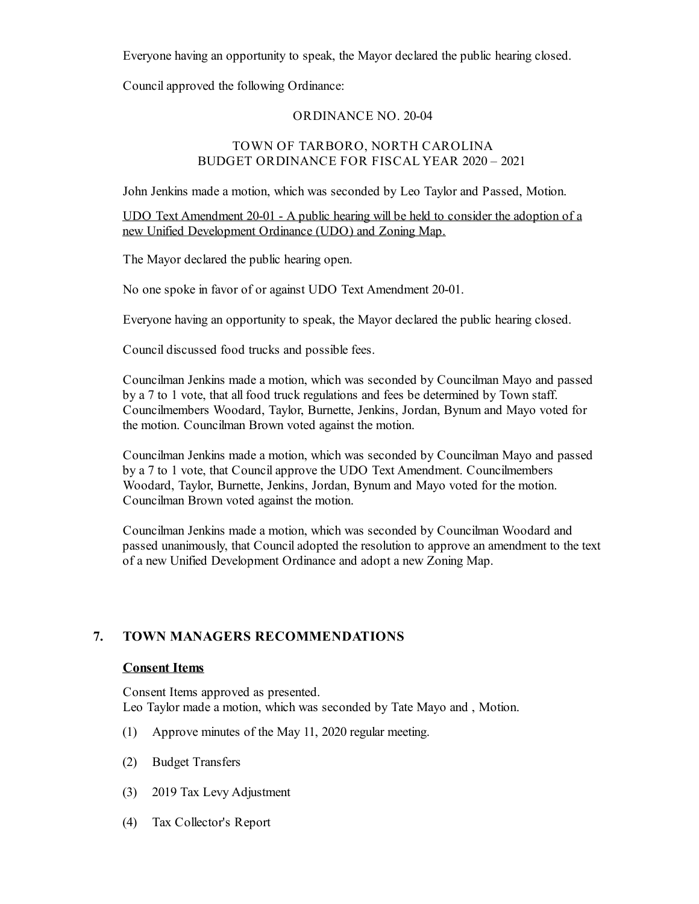Everyone having an opportunity to speak, the Mayor declared the public hearing closed.

Councilapproved the following Ordinance:

### ORDINANCE NO. 20-04

### TOWN OF TARBORO, NORTH CAROLINA BUDGET ORDINANCE FOR FISCAL YEAR 2020 – 2021

John Jenkins made a motion, which was seconded by Leo Taylor and Passed, Motion.

UDO Text Amendment 20-01 - A public hearing will be held to consider the adoption of a new Unified Development Ordinance (UDO) and Zoning Map.

The Mayor declared the public hearing open.

No one spoke in favor of or against UDO Text Amendment 20-01.

Everyone having an opportunity to speak, the Mayor declared the public hearing closed.

Council discussed food trucks and possible fees.

Councilman Jenkins made a motion, which was seconded by Councilman Mayo and passed by a 7 to 1 vote, that all food truck regulations and fees be determined by Town staff. Councilmembers Woodard, Taylor, Burnette, Jenkins, Jordan, Bynum and Mayo voted for the motion. Councilman Brown voted against the motion.

Councilman Jenkins made a motion, which was seconded by Councilman Mayo and passed by a 7 to 1 vote, that Councilapprove the UDO Text Amendment. Councilmembers Woodard, Taylor, Burnette, Jenkins, Jordan, Bynum and Mayo voted for the motion. Councilman Brown voted against the motion.

Councilman Jenkins made a motion, which was seconded by Councilman Woodard and passed unanimously, that Counciladopted the resolution to approve an amendment to the text of a new Unified Development Ordinance and adopt a new Zoning Map.

# **7. TOWN MANAGERS RECOMMENDATIONS**

#### **Consent Items**

Consent Items approved as presented. Leo Taylor made a motion, which was seconded by Tate Mayo and , Motion.

- (1) Approve minutes of the May 11, 2020 regular meeting.
- (2) Budget Transfers
- (3) 2019 Tax Levy Adjustment
- (4) Tax Collector's Report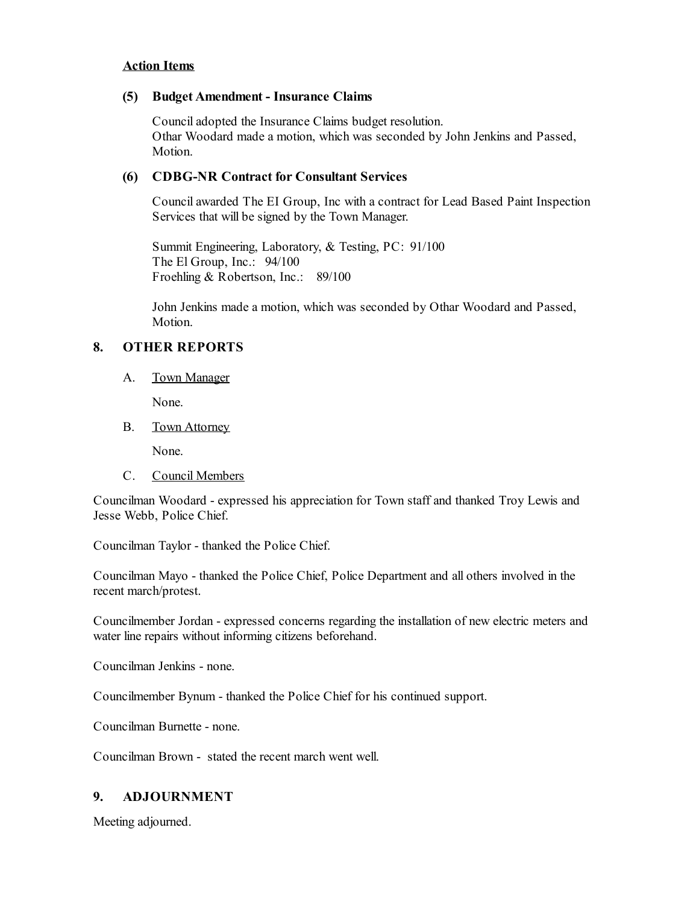#### **Action Items**

#### **(5) Budget Amendment - Insurance Claims**

Counciladopted the Insurance Claims budget resolution. Othar Woodard made a motion, which was seconded by John Jenkins and Passed, Motion.

# **(6) CDBG-NR Contract for Consultant Services**

Councilawarded The EI Group, Inc with a contract for Lead Based Paint Inspection Services that will be signed by the Town Manager.

Summit Engineering, Laboratory, & Testing, PC: 91/100 The El Group, Inc.: 94/100 Froehling & Robertson, Inc.: 89/100

John Jenkins made a motion, which was seconded by Othar Woodard and Passed, Motion.

#### **8. OTHER REPORTS**

A. Town Manager

None.

B. Town Attorney

None.

C. Council Members

Councilman Woodard - expressed his appreciation for Town staff and thanked Troy Lewis and Jesse Webb, Police Chief.

Councilman Taylor - thanked the Police Chief.

Councilman Mayo - thanked the Police Chief, Police Department and all others involved in the recent march/protest.

Councilmember Jordan - expressed concerns regarding the installation of new electric meters and water line repairs without informing citizens beforehand.

Councilman Jenkins - none.

Councilmember Bynum - thanked the Police Chief for his continued support.

Councilman Burnette - none.

Councilman Brown - stated the recent march went well.

### **9. ADJOURNMENT**

Meeting adjourned.